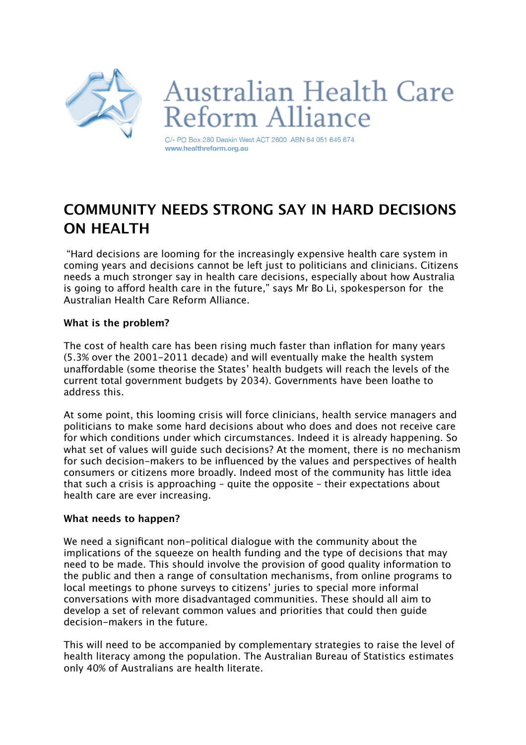

# **Australian Health Care** eform Alliance

C/- PO Box 280 Deakin West ACT 2600 ABN 64 051 645 674 www.healthreform.org.au

# **COMMUNITY NEEDS STRONG SAY IN HARD DECISIONS ON HEALTH**

 "Hard decisions are looming for the increasingly expensive health care system in coming years and decisions cannot be left just to politicians and clinicians. Citizens needs a much stronger say in health care decisions, especially about how Australia is going to afford health care in the future," says Mr Bo Li, spokesperson for the Australian Health Care Reform Alliance.

## **What is the problem?**

The cost of health care has been rising much faster than inflation for many years (5.3% over the 2001-2011 decade) and will eventually make the health system unafordable (some theorise the States' health budgets will reach the levels of the current total government budgets by 2034). Governments have been loathe to address this.

At some point, this looming crisis will force clinicians, health service managers and politicians to make some hard decisions about who does and does not receive care for which conditions under which circumstances. Indeed it is already happening. So what set of values will guide such decisions? At the moment, there is no mechanism for such decision-makers to be influenced by the values and perspectives of health consumers or citizens more broadly. Indeed most of the community has little idea that such a crisis is approaching – quite the opposite – their expectations about health care are ever increasing.

### **What needs to happen?**

We need a significant non-political dialogue with the community about the implications of the squeeze on health funding and the type of decisions that may need to be made. This should involve the provision of good quality information to the public and then a range of consultation mechanisms, from online programs to local meetings to phone surveys to citizens' juries to special more informal conversations with more disadvantaged communities. These should all aim to develop a set of relevant common values and priorities that could then guide decision-makers in the future.

This will need to be accompanied by complementary strategies to raise the level of health literacy among the population. The Australian Bureau of Statistics estimates only 40% of Australians are health literate.